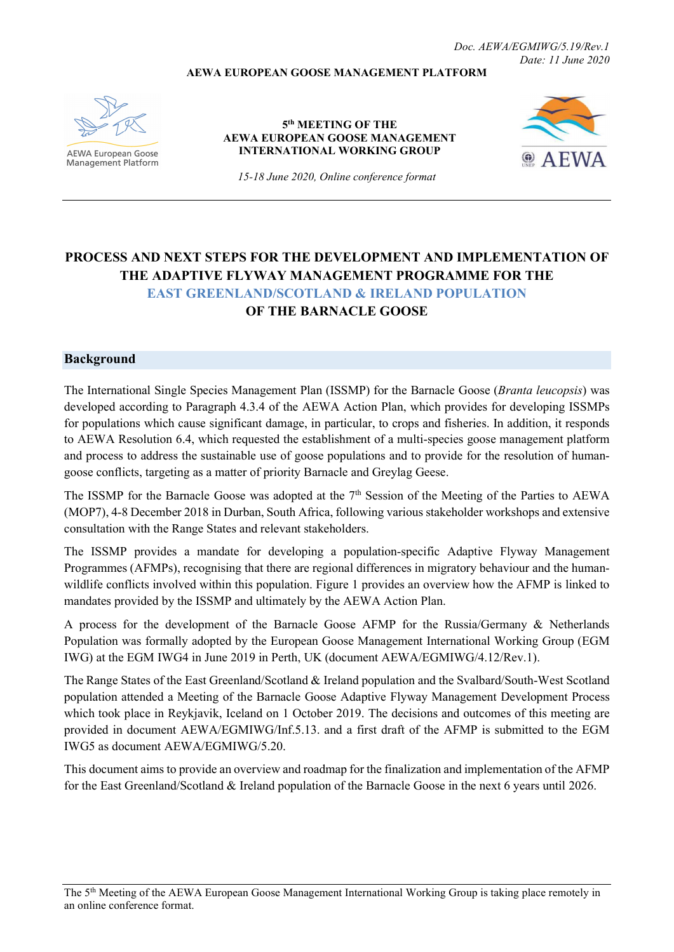Doc. AEWA/EGMIWG/5.19/Rev.1 Date: 11 June 2020

### AEWA EUROPEAN GOOSE MANAGEMENT PLATFORM



**AEWA European Goose Management Platform** 

#### 5<sup>th</sup> MEETING OF THE AEWA EUROPEAN GOOSE MANAGEMENT INTERNATIONAL WORKING GROUP



15-18 June 2020, Online conference format

# PROCESS AND NEXT STEPS FOR THE DEVELOPMENT AND IMPLEMENTATION OF THE ADAPTIVE FLYWAY MANAGEMENT PROGRAMME FOR THE EAST GREENLAND/SCOTLAND & IRELAND POPULATION OF THE BARNACLE GOOSE

## Background

The International Single Species Management Plan (ISSMP) for the Barnacle Goose (Branta leucopsis) was developed according to Paragraph 4.3.4 of the AEWA Action Plan, which provides for developing ISSMPs for populations which cause significant damage, in particular, to crops and fisheries. In addition, it responds to AEWA Resolution 6.4, which requested the establishment of a multi-species goose management platform and process to address the sustainable use of goose populations and to provide for the resolution of humangoose conflicts, targeting as a matter of priority Barnacle and Greylag Geese.

The ISSMP for the Barnacle Goose was adopted at the 7<sup>th</sup> Session of the Meeting of the Parties to AEWA (MOP7), 4-8 December 2018 in Durban, South Africa, following various stakeholder workshops and extensive consultation with the Range States and relevant stakeholders.

The ISSMP provides a mandate for developing a population-specific Adaptive Flyway Management Programmes (AFMPs), recognising that there are regional differences in migratory behaviour and the humanwildlife conflicts involved within this population. Figure 1 provides an overview how the AFMP is linked to mandates provided by the ISSMP and ultimately by the AEWA Action Plan.

A process for the development of the Barnacle Goose AFMP for the Russia/Germany & Netherlands Population was formally adopted by the European Goose Management International Working Group (EGM IWG) at the EGM IWG4 in June 2019 in Perth, UK (document AEWA/EGMIWG/4.12/Rev.1).

The Range States of the East Greenland/Scotland & Ireland population and the Svalbard/South-West Scotland population attended a Meeting of the Barnacle Goose Adaptive Flyway Management Development Process which took place in Reykjavik, Iceland on 1 October 2019. The decisions and outcomes of this meeting are provided in document AEWA/EGMIWG/Inf.5.13. and a first draft of the AFMP is submitted to the EGM IWG5 as document AEWA/EGMIWG/5.20.

This document aims to provide an overview and roadmap for the finalization and implementation of the AFMP for the East Greenland/Scotland & Ireland population of the Barnacle Goose in the next 6 years until 2026.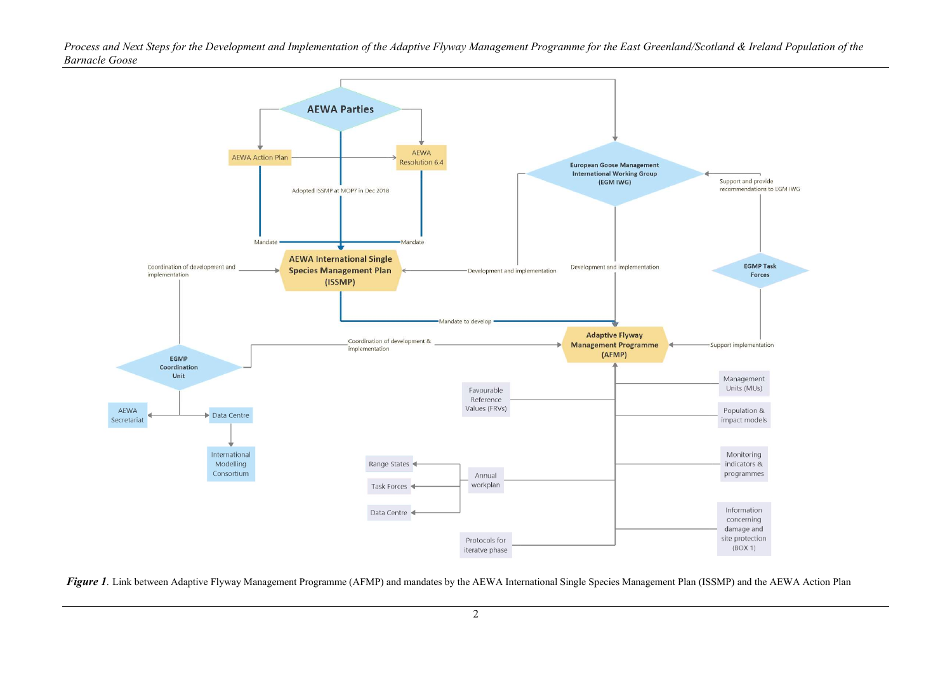Process and Next Steps for the Development and Implementation of the Adaptive Flyway Management Programme for the East Greenland/Scotland & Ireland Population of the Barnacle Goose



Figure 1. Link between Adaptive Flyway Management Programme (AFMP) and mandates by the AEWA International Single Species Management Plan (ISSMP) and the AEWA Action Plan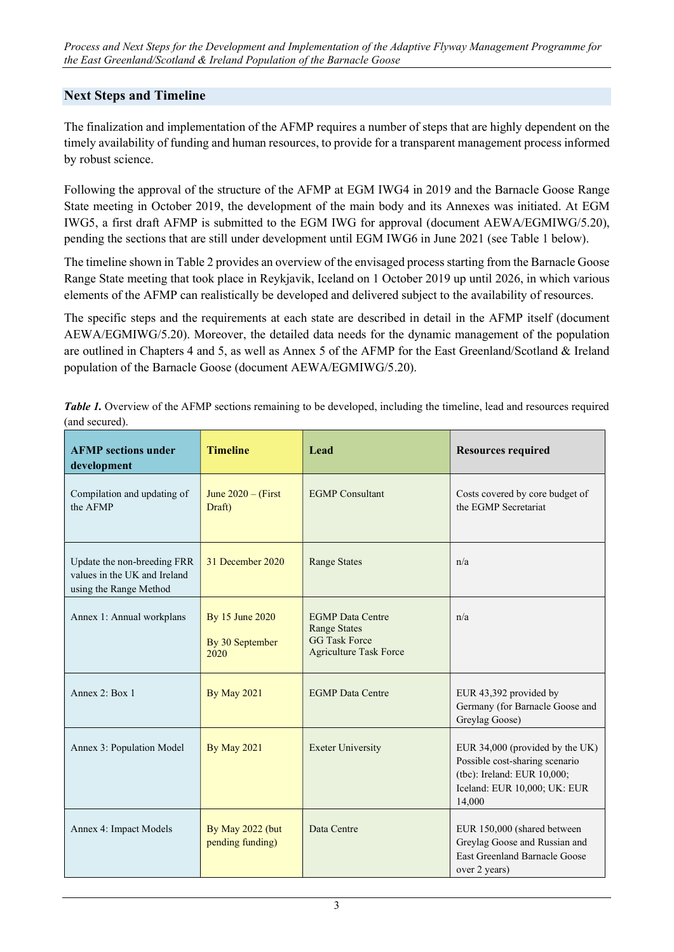# Next Steps and Timeline

The finalization and implementation of the AFMP requires a number of steps that are highly dependent on the timely availability of funding and human resources, to provide for a transparent management process informed by robust science.

Following the approval of the structure of the AFMP at EGM IWG4 in 2019 and the Barnacle Goose Range State meeting in October 2019, the development of the main body and its Annexes was initiated. At EGM IWG5, a first draft AFMP is submitted to the EGM IWG for approval (document AEWA/EGMIWG/5.20), pending the sections that are still under development until EGM IWG6 in June 2021 (see Table 1 below).

The timeline shown in Table 2 provides an overview of the envisaged process starting from the Barnacle Goose Range State meeting that took place in Reykjavik, Iceland on 1 October 2019 up until 2026, in which various elements of the AFMP can realistically be developed and delivered subject to the availability of resources.

The specific steps and the requirements at each state are described in detail in the AFMP itself (document AEWA/EGMIWG/5.20). Moreover, the detailed data needs for the dynamic management of the population are outlined in Chapters 4 and 5, as well as Annex 5 of the AFMP for the East Greenland/Scotland & Ireland population of the Barnacle Goose (document AEWA/EGMIWG/5.20).

Table 1. Overview of the AFMP sections remaining to be developed, including the timeline, lead and resources required (and secured).

| <b>AFMP</b> sections under<br>development                                             | <b>Timeline</b>                            | Lead                                                                                                    | <b>Resources required</b>                                                                                                                  |
|---------------------------------------------------------------------------------------|--------------------------------------------|---------------------------------------------------------------------------------------------------------|--------------------------------------------------------------------------------------------------------------------------------------------|
| Compilation and updating of<br>the AFMP                                               | June $2020 -$ (First)<br>Draft)            | <b>EGMP</b> Consultant                                                                                  | Costs covered by core budget of<br>the EGMP Secretariat                                                                                    |
| Update the non-breeding FRR<br>values in the UK and Ireland<br>using the Range Method | 31 December 2020                           | <b>Range States</b>                                                                                     | n/a                                                                                                                                        |
| Annex 1: Annual workplans                                                             | By 15 June 2020<br>By 30 September<br>2020 | <b>EGMP</b> Data Centre<br><b>Range States</b><br><b>GG Task Force</b><br><b>Agriculture Task Force</b> | n/a                                                                                                                                        |
| Annex 2: Box 1                                                                        | <b>By May 2021</b>                         | <b>EGMP</b> Data Centre                                                                                 | EUR 43,392 provided by<br>Germany (for Barnacle Goose and<br>Greylag Goose)                                                                |
| Annex 3: Population Model                                                             | <b>By May 2021</b>                         | <b>Exeter University</b>                                                                                | EUR 34,000 (provided by the UK)<br>Possible cost-sharing scenario<br>(tbc): Ireland: EUR 10,000;<br>Iceland: EUR 10,000; UK: EUR<br>14,000 |
| Annex 4: Impact Models                                                                | By May 2022 (but<br>pending funding)       | Data Centre                                                                                             | EUR 150,000 (shared between<br>Greylag Goose and Russian and<br><b>East Greenland Barnacle Goose</b><br>over 2 years)                      |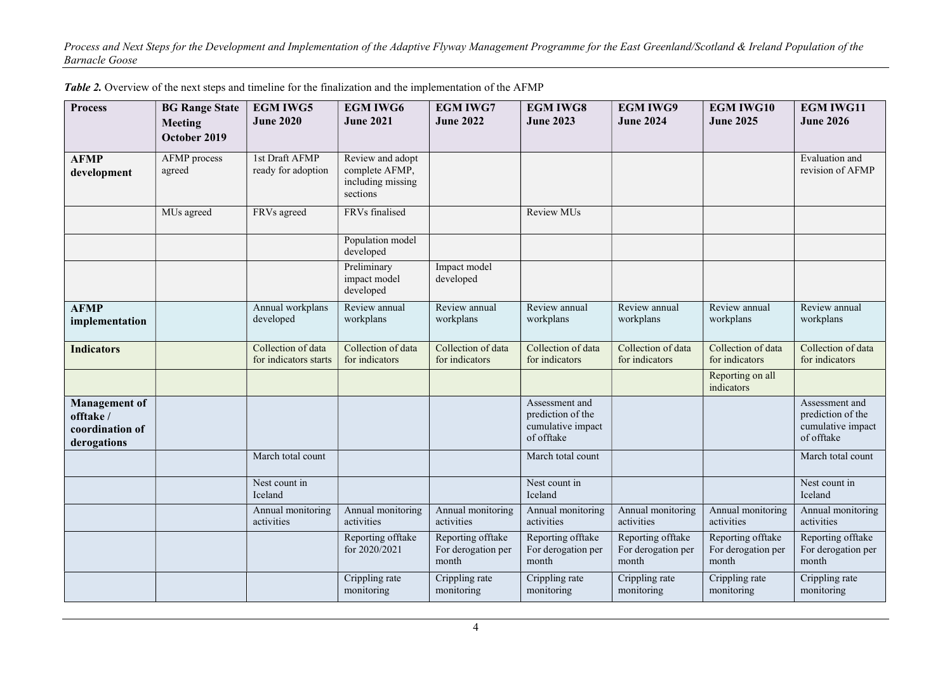Process and Next Steps for the Development and Implementation of the Adaptive Flyway Management Programme for the East Greenland/Scotland & Ireland Population of the Barnacle Goose

| <b>Process</b>                                                      | <b>BG Range State</b><br><b>Meeting</b><br>October 2019 | <b>EGM IWG5</b><br><b>June 2020</b>         | <b>EGM IWG6</b><br><b>June 2021</b>                                 | <b>EGM IWG7</b><br><b>June 2022</b>              | <b>EGM IWG8</b><br><b>June 2023</b>                                    | <b>EGM IWG9</b><br><b>June 2024</b>              | <b>EGM IWG10</b><br><b>June 2025</b>             | <b>EGM IWG11</b><br><b>June 2026</b>                                   |
|---------------------------------------------------------------------|---------------------------------------------------------|---------------------------------------------|---------------------------------------------------------------------|--------------------------------------------------|------------------------------------------------------------------------|--------------------------------------------------|--------------------------------------------------|------------------------------------------------------------------------|
|                                                                     |                                                         |                                             |                                                                     |                                                  |                                                                        |                                                  |                                                  |                                                                        |
| <b>AFMP</b><br>development                                          | AFMP process<br>agreed                                  | 1st Draft AFMP<br>ready for adoption        | Review and adopt<br>complete AFMP,<br>including missing<br>sections |                                                  |                                                                        |                                                  |                                                  | Evaluation and<br>revision of AFMP                                     |
|                                                                     | MUs agreed                                              | FRVs agreed                                 | FRVs finalised                                                      |                                                  | Review MUs                                                             |                                                  |                                                  |                                                                        |
|                                                                     |                                                         |                                             | Population model<br>developed                                       |                                                  |                                                                        |                                                  |                                                  |                                                                        |
|                                                                     |                                                         |                                             | Preliminary<br>impact model<br>developed                            | Impact model<br>developed                        |                                                                        |                                                  |                                                  |                                                                        |
| <b>AFMP</b><br>implementation                                       |                                                         | Annual workplans<br>developed               | Review annual<br>workplans                                          | Review annual<br>workplans                       | Review annual<br>workplans                                             | Review annual<br>workplans                       | Review annual<br>workplans                       | Review annual<br>workplans                                             |
| <b>Indicators</b>                                                   |                                                         | Collection of data<br>for indicators starts | Collection of data<br>for indicators                                | Collection of data<br>for indicators             | Collection of data<br>for indicators                                   | Collection of data<br>for indicators             | Collection of data<br>for indicators             | Collection of data<br>for indicators                                   |
|                                                                     |                                                         |                                             |                                                                     |                                                  |                                                                        |                                                  | Reporting on all<br>indicators                   |                                                                        |
| <b>Management</b> of<br>offtake /<br>coordination of<br>derogations |                                                         |                                             |                                                                     |                                                  | Assessment and<br>prediction of the<br>cumulative impact<br>of offtake |                                                  |                                                  | Assessment and<br>prediction of the<br>cumulative impact<br>of offtake |
|                                                                     |                                                         | March total count                           |                                                                     |                                                  | March total count                                                      |                                                  |                                                  | March total count                                                      |
|                                                                     |                                                         | Nest count in<br>Iceland                    |                                                                     |                                                  | Nest count in<br>Iceland                                               |                                                  |                                                  | Nest count in<br>Iceland                                               |
|                                                                     |                                                         | Annual monitoring<br>activities             | Annual monitoring<br>activities                                     | Annual monitoring<br>activities                  | Annual monitoring<br>activities                                        | Annual monitoring<br>activities                  | Annual monitoring<br>activities                  | Annual monitoring<br>activities                                        |
|                                                                     |                                                         |                                             | Reporting offtake<br>for 2020/2021                                  | Reporting offtake<br>For derogation per<br>month | Reporting offtake<br>For derogation per<br>month                       | Reporting offtake<br>For derogation per<br>month | Reporting offtake<br>For derogation per<br>month | Reporting offtake<br>For derogation per<br>month                       |
|                                                                     |                                                         |                                             | Crippling rate<br>monitoring                                        | Crippling rate<br>monitoring                     | Crippling rate<br>monitoring                                           | Crippling rate<br>monitoring                     | Crippling rate<br>monitoring                     | Crippling rate<br>monitoring                                           |

Table 2. Overview of the next steps and timeline for the finalization and the implementation of the AFMP